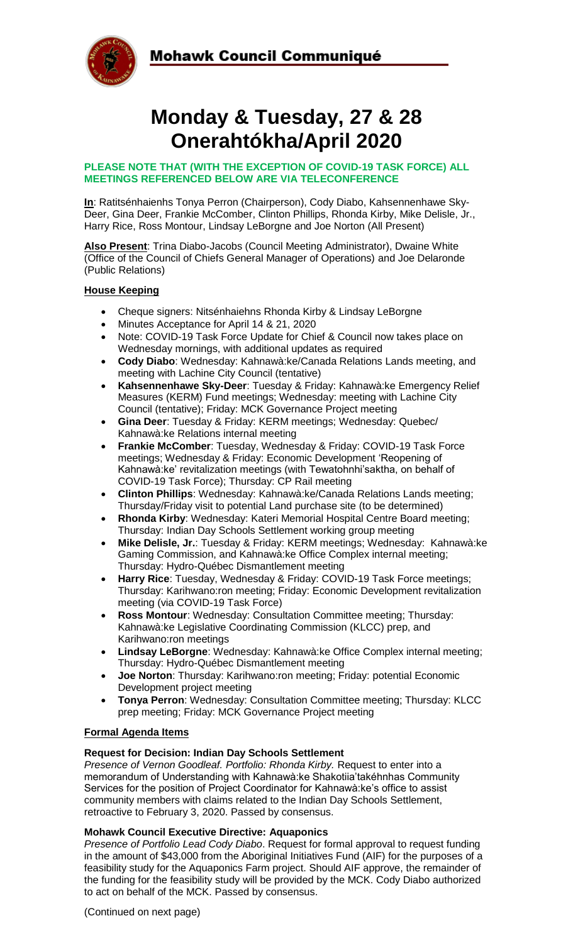

# Mohawk Council Communiqué

# **Monday & Tuesday, 27 & 28 Onerahtókha/April 2020**

#### **PLEASE NOTE THAT (WITH THE EXCEPTION OF COVID-19 TASK FORCE) ALL MEETINGS REFERENCED BELOW ARE VIA TELECONFERENCE**

**In**: Ratitsénhaienhs Tonya Perron (Chairperson), Cody Diabo, Kahsennenhawe Sky-Deer, Gina Deer, Frankie McComber, Clinton Phillips, Rhonda Kirby, Mike Delisle, Jr., Harry Rice, Ross Montour, Lindsay LeBorgne and Joe Norton (All Present)

**Also Present**: Trina Diabo-Jacobs (Council Meeting Administrator), Dwaine White (Office of the Council of Chiefs General Manager of Operations) and Joe Delaronde (Public Relations)

#### **House Keeping**

- Cheque signers: Nitsénhaiehns Rhonda Kirby & Lindsay LeBorgne
- Minutes Acceptance for April 14 & 21, 2020
- Note: COVID-19 Task Force Update for Chief & Council now takes place on Wednesday mornings, with additional updates as required
- **Cody Diabo**: Wednesday: Kahnawà:ke/Canada Relations Lands meeting, and meeting with Lachine City Council (tentative)
- **Kahsennenhawe Sky-Deer**: Tuesday & Friday: Kahnawà:ke Emergency Relief Measures (KERM) Fund meetings; Wednesday: meeting with Lachine City Council (tentative); Friday: MCK Governance Project meeting
- **Gina Deer**: Tuesday & Friday: KERM meetings; Wednesday: Quebec/ Kahnawà:ke Relations internal meeting
- **Frankie McComber**: Tuesday, Wednesday & Friday: COVID-19 Task Force meetings; Wednesday & Friday: Economic Development 'Reopening of Kahnawà:ke' revitalization meetings (with Tewatohnhi'saktha, on behalf of COVID-19 Task Force); Thursday: CP Rail meeting
- **Clinton Phillips**: Wednesday: Kahnawà:ke/Canada Relations Lands meeting; Thursday/Friday visit to potential Land purchase site (to be determined)
- **Rhonda Kirby**: Wednesday: Kateri Memorial Hospital Centre Board meeting; Thursday: Indian Day Schools Settlement working group meeting
- **Mike Delisle, Jr.**: Tuesday & Friday: KERM meetings; Wednesday: Kahnawà:ke Gaming Commission, and Kahnawà:ke Office Complex internal meeting; Thursday: Hydro-Québec Dismantlement meeting
- **Harry Rice**: Tuesday, Wednesday & Friday: COVID-19 Task Force meetings; Thursday: Karihwano:ron meeting; Friday: Economic Development revitalization meeting (via COVID-19 Task Force)
- **Ross Montour**: Wednesday: Consultation Committee meeting; Thursday: Kahnawà:ke Legislative Coordinating Commission (KLCC) prep, and Karihwano:ron meetings
- **Lindsay LeBorgne**: Wednesday: Kahnawà:ke Office Complex internal meeting; Thursday: Hydro-Québec Dismantlement meeting
- **Joe Norton**: Thursday: Karihwano:ron meeting; Friday: potential Economic Development project meeting
- **Tonya Perron**: Wednesday: Consultation Committee meeting; Thursday: KLCC prep meeting; Friday: MCK Governance Project meeting

#### **Formal Agenda Items**

## **Request for Decision: Indian Day Schools Settlement**

*Presence of Vernon Goodleaf. Portfolio: Rhonda Kirby.* Request to enter into a memorandum of Understanding with Kahnawà:ke Shakotiia'takéhnhas Community Services for the position of Project Coordinator for Kahnawà:ke's office to assist community members with claims related to the Indian Day Schools Settlement, retroactive to February 3, 2020. Passed by consensus.

#### **Mohawk Council Executive Directive: Aquaponics**

*Presence of Portfolio Lead Cody Diabo*. Request for formal approval to request funding in the amount of \$43,000 from the Aboriginal Initiatives Fund (AIF) for the purposes of a feasibility study for the Aquaponics Farm project. Should AIF approve, the remainder of the funding for the feasibility study will be provided by the MCK. Cody Diabo authorized to act on behalf of the MCK. Passed by consensus.

(Continued on next page)